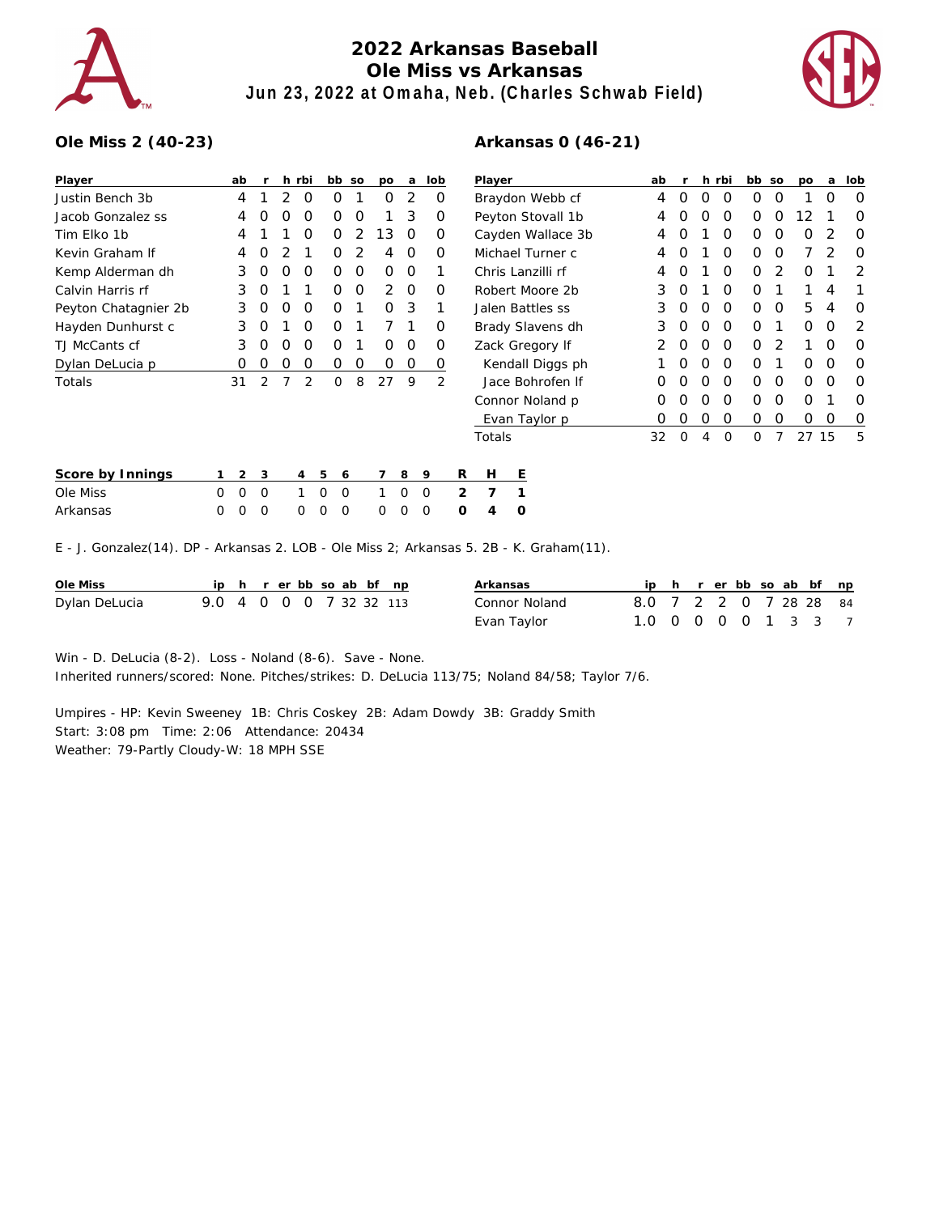

## **2022 Arkansas Baseball Ole Miss vs Arkansas Jun 23, 2022 at Omaha, Neb. (Charles Schwab Field)**



## **Ole Miss 2 (40-23)**

| Player               | ab | r              |   | h rbi          | bb     | <b>SO</b>     | DO | a             | lob            |   |
|----------------------|----|----------------|---|----------------|--------|---------------|----|---------------|----------------|---|
| Justin Bench 3b      | 4  | 1              | 2 | Ο              | Ω      | 1             | Ω  | $\mathcal{P}$ | O              |   |
| Jacob Gonzalez ss    | 4  | Ο              | O | Ω              | Ω      | O             | 1  | 3             | Ω              |   |
| Tim Flko 1b          | 4  | 1              | 1 | Ο              | 0      | 2             | 13 | O             | Ω              |   |
| Kevin Graham If      | 4  | O              | 2 | 1              | 0      | $\mathcal{P}$ | 4  | O             | O              |   |
| Kemp Alderman dh     | 3  | O              | O | Ω              | O      | 0             | O  | O             | 1              |   |
| Calvin Harris rf     | 3  | O              | 1 | 1              | O      | 0             | 2  | O             | Ω              |   |
| Peyton Chatagnier 2b | 3  | O              | O | Ω              | O      | 1             | 0  | 3             | 1              |   |
| Hayden Dunhurst c    | 3  | O              | 1 | Ω              | O      | 1             | 7  | 1             | ი              |   |
| TJ McCants cf        | 3  | O              | O | Ο              | Ο      | 1             | O  | O             | Ω              |   |
| Dylan DeLucia p      | Ω  | Ο              | 0 | Ο              | Ο      | Ο             | Ο  | Ο             | O              |   |
| Totals               | 31 | $\overline{2}$ | 7 | $\overline{2}$ | Ω      | 8             | 27 | 9             | $\overline{2}$ |   |
|                      |    |                |   |                |        |               |    |               |                |   |
|                      |    |                |   |                |        |               |    |               |                |   |
|                      |    |                |   |                |        |               |    |               |                |   |
| Score by Innings     | 2  | 3              |   | 4              | 5<br>6 |               |    | 8             | 9              | R |

## **Arkansas 0 (46-21)**

| ab               | r                |   |   | bb    | SO | po | a  | lob |
|------------------|------------------|---|---|-------|----|----|----|-----|
| 4                | 0                | Ω | Ω | Ω     | Ω  | 1  | Ω  | Ω   |
| 4                | Ω                | Ω | Ω | Ω     | Ω  | 12 | 1  | Ω   |
| 4                | Ω                | 1 | ∩ | Ω     | Ω  | Ω  | 2  | Ω   |
| 4                | Ω                | 1 | Ω | Ω     | Ω  | 7  | 2  | Ω   |
| 4                | O                | 1 | Ω | Ω     | 2  | Ω  | 1  | 2   |
| 3                | O                | 1 | Ω | Ω     | 1  | 1  | 4  | 1   |
| 3                | O                | Ο | Ω | Ω     | Ω  | 5  | 4  | Ω   |
| 3                | O                | Ω | Ω | ∩     | 1  | Ω  | ∩  | 2   |
| 2                | Ω                | Ω | ∩ | ∩     | 2  | 1  | ∩  | Ω   |
|                  | ∩                | Ω | ∩ | O     | 1  | Ω  | ∩  | Ω   |
| 0                | Ω                | Ω | Ω | Ω     | Ω  | Ω  | Ω  | Ω   |
| $\left( \right)$ | Ω                | Ω | Ω | Ω     | ∩  | Ω  | 1  | Ω   |
| $\left( \right)$ | $\left( \right)$ | Ω | Ο | Ω     | O  | Ω  | Ω  | Ő   |
| 32               | ∩                | 4 | ∩ | ∩     | 7  | 27 | 15 | 5   |
|                  |                  |   |   | h rbi |    |    |    |     |

| Score by Innings |  | $1 \t2 \t3$ |  |  |  | 4 5 6 7 8 9 |  | R H E                   |  |
|------------------|--|-------------|--|--|--|-------------|--|-------------------------|--|
| Ole Miss         |  |             |  |  |  |             |  | 0 0 0 1 0 0 1 0 0 2 7 1 |  |
| Arkansas         |  |             |  |  |  |             |  | 000 000 000 0 4 0       |  |

E - J. Gonzalez(14). DP - Arkansas 2. LOB - Ole Miss 2; Arkansas 5. 2B - K. Graham(11).

| Ole Miss      |                         |  |  |  | ip h r erbb so ab bf np | Arkansas      |                        |  |  |  | ip h r er bb so ab bf np |
|---------------|-------------------------|--|--|--|-------------------------|---------------|------------------------|--|--|--|--------------------------|
| Dylan DeLucia | 9.0 4 0 0 0 7 32 32 113 |  |  |  |                         | Connor Noland | 8.0 7 2 2 0 7 28 28 84 |  |  |  |                          |
|               |                         |  |  |  |                         | Evan Taylor   | 1.0 0 0 0 0 1 3 3 7    |  |  |  |                          |

Win - D. DeLucia (8-2). Loss - Noland (8-6). Save - None.

Inherited runners/scored: None. Pitches/strikes: D. DeLucia 113/75; Noland 84/58; Taylor 7/6.

Umpires - HP: Kevin Sweeney 1B: Chris Coskey 2B: Adam Dowdy 3B: Graddy Smith Start: 3:08 pm Time: 2:06 Attendance: 20434 Weather: 79-Partly Cloudy-W: 18 MPH SSE